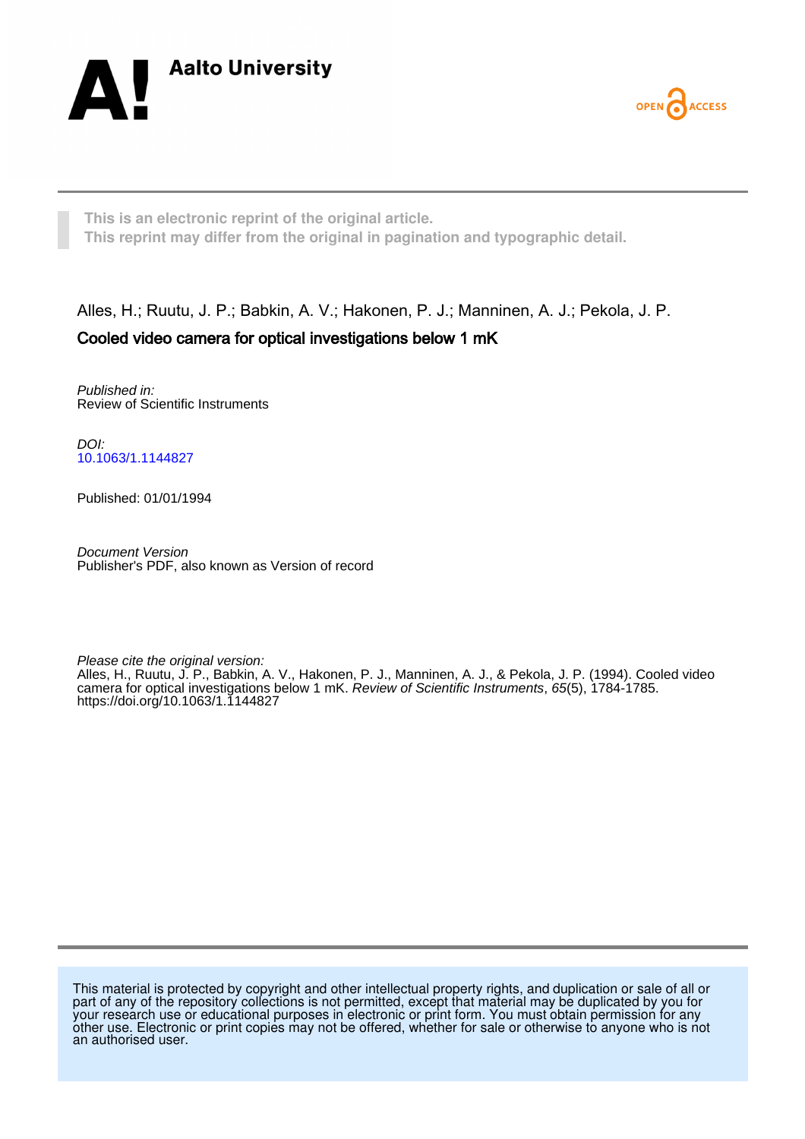



**This is an electronic reprint of the original article. This reprint may differ from the original in pagination and typographic detail.**

## Alles, H.; Ruutu, J. P.; Babkin, A. V.; Hakonen, P. J.; Manninen, A. J.; Pekola, J. P. Cooled video camera for optical investigations below 1 mK

Published in: Review of Scientific Instruments

DOI: [10.1063/1.1144827](https://doi.org/10.1063/1.1144827)

Published: 01/01/1994

Document Version Publisher's PDF, also known as Version of record

Please cite the original version:

Alles, H., Ruutu, J. P., Babkin, A. V., Hakonen, P. J., Manninen, A. J., & Pekola, J. P. (1994). Cooled video camera for optical investigations below 1 mK. Review of Scientific Instruments, 65(5), 1784-1785. <https://doi.org/10.1063/1.1144827>

This material is protected by copyright and other intellectual property rights, and duplication or sale of all or part of any of the repository collections is not permitted, except that material may be duplicated by you for your research use or educational purposes in electronic or print form. You must obtain permission for any other use. Electronic or print copies may not be offered, whether for sale or otherwise to anyone who is not an authorised user.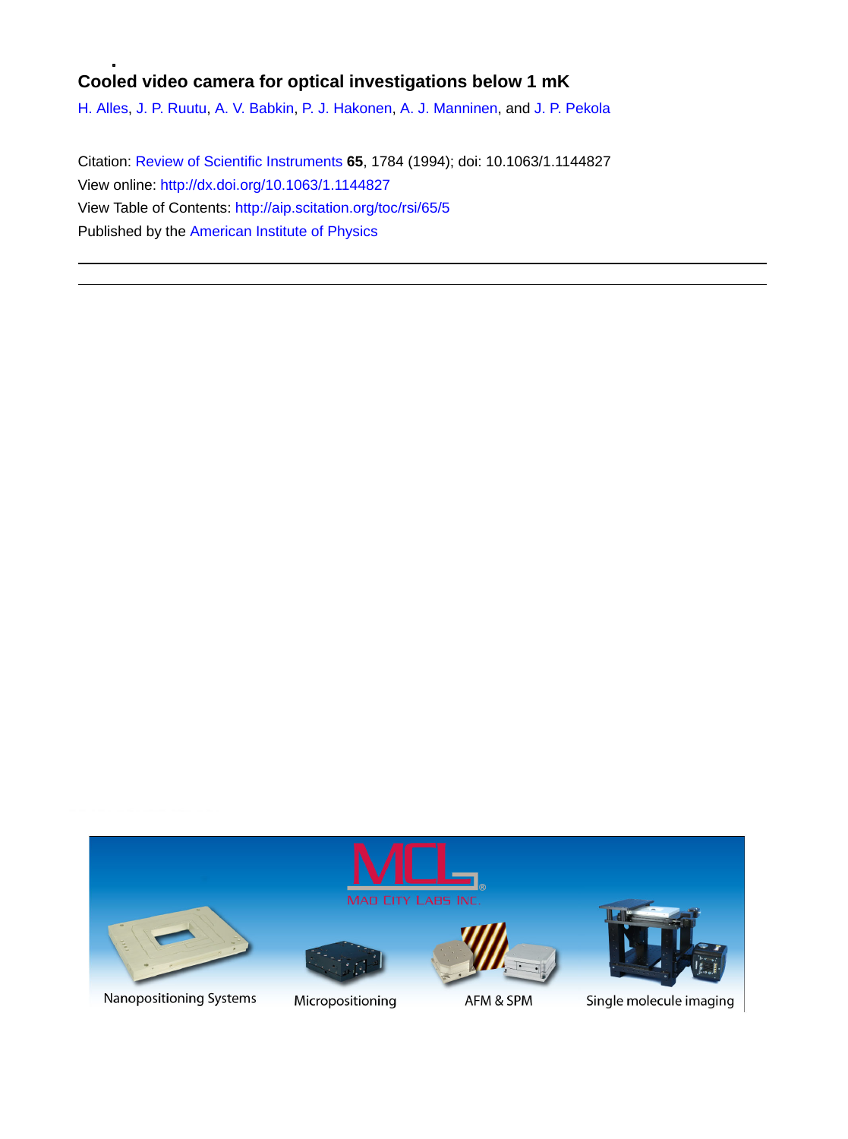## **Cooled video camera for optical investigations below 1 mK**

[H. Alles,](http://aip.scitation.org/author/Alles%2C+H) [J. P. Ruutu](http://aip.scitation.org/author/Ruutu%2C+J+P), [A. V. Babkin,](http://aip.scitation.org/author/Babkin%2C+A+V) [P. J. Hakonen,](http://aip.scitation.org/author/Hakonen%2C+P+J) [A. J. Manninen](http://aip.scitation.org/author/Manninen%2C+A+J), and [J. P. Pekola](http://aip.scitation.org/author/Pekola%2C+J+P)

Citation: [Review of Scientific Instruments](/loi/rsi) **65**, 1784 (1994); doi: 10.1063/1.1144827 View online: <http://dx.doi.org/10.1063/1.1144827> View Table of Contents: <http://aip.scitation.org/toc/rsi/65/5> Published by the [American Institute of Physics](http://aip.scitation.org/publisher/)



Nanopositioning Systems



Micropositioning



AFM & SPM



Single molecule imaging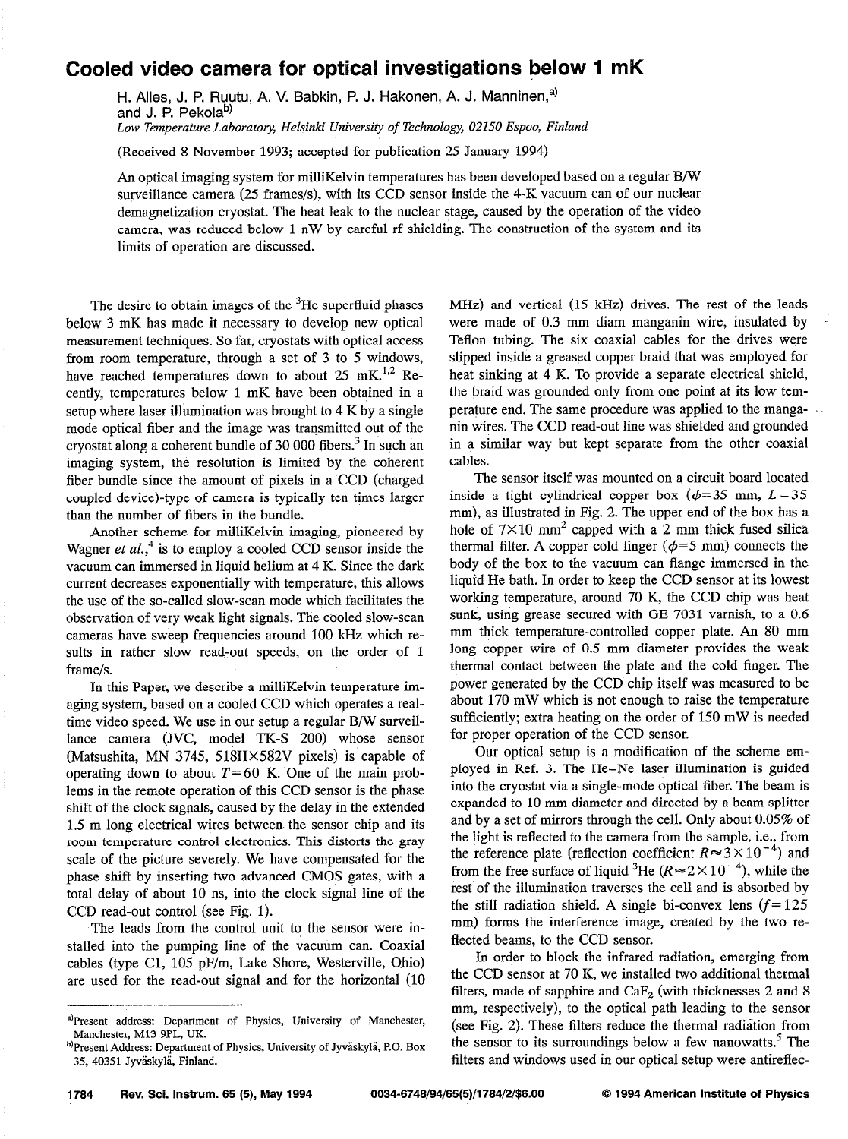## Cooled video camera for optical investigations below 1 mK

H. Alles, J. P. Ruutu, A. V. Babkin, P. J. Hakonen, A. J. Manninen,<sup>a)</sup> and J. P. Pekola<sup>b)</sup> Low Temperature Laboratory, Helsinki University of Technology, 02150 Espoo, Finland

(Received 8 November 1993; accepted for publication 25 January 1994)

An optical imaging system for milliKelvin temperatures has been developed based on a regular S/W surveillance camera (25 frames/s), with its CCD sensor inside the 4-K vacuum can of our nuclear demagnetization cryostat. The heat leak to the nuclear stage, caused by the operation of the video camera, was reduced below 1 nW by careful rf shielding. The construction of the system and its limits of operation are discussed.

The desire to obtain images of the  $3$ He superfluid phases below 3 mK has made it necessary to develop new optical measurement techniques. So far, cryostats with optical access from room temperature, through a set of 3 to 5 windows, have reached temperatures down to about 25 mK.<sup>1,2</sup> Recently, temperatures below 1 mK have been obtained in a setup where laser illumination was brought to 4 K by a single mode optical fiber and the image was transmitted out of the cryostat along a coherent bundle of 30 000 fibers.<sup>3</sup> In such an imaging system, the resolution is limited by the coherent fiber bundle since the amount of pixels in a CCD (charged coupled device)-type of camera is typically ten times larger than the number of fibers in the bundle.

Another scheme for milliKelvin imaging, pioneered by Wagner et  $al$ ,<sup>4</sup> is to employ a cooled CCD sensor inside the vacuum can immersed in liquid helium at 4 K. Since the dark current decreases exponentially with temperature, this allows the use of the so-called slow-scan mode which facilitates the observation of very weak light signals. The cooled slow-scan cameras have sweep frequencies around 100 kHz which results in rather slow read-out speeds, on the order of 1 frame/s.

In this Paper, we describe a milliKelvin temperature imaging system, based on a cooled CCD which operates a realtime video speed. We use in our setup a regular B/W surveillance camera (JVC, model TK-S 200) whose sensor (Matsushita, MN 3745, 518 $H \times 582V$  pixels) is capable of operating down to about  $T=60$  K. One of the main problems in the remote operation of this CCD sensor is the phase shift of the clock signals, caused by the delay in the extended 1.5 m long electrical wires between. the sensor chip and its room temperature control electronics. This distorts the gray scale of the picture severely. We have compensated for the phase shift by inserting two advanced CMOS gates, with a total delay of about 10 ns, into the clock signal line of the CCD read-out control (see Fig. 1).

The leads from the control unit to the sensor were installed into the pumping line of the vacuum can. Coaxial cables (type Cl, 105 pF/m, Lake Shore, Westerville, Qhio) are used for the read-out signal and for the horizontal (10 MHz) and vertical (15 kHz) drives. The rest of the leads were made of 0.3 mm diam manganin wire, insulated by Teflon tubing. The six coaxial cables for the drives were slipped inside a greased copper braid that was employed for heat sinking at 4 K. To provide a separate electrical shield, the braid was grounded only from one point at its low temperature end. The same procedure was applied to the manganin wires. The CCD read-out line was shielded and grounded in a similar way but kept separate from the other coaxial cables.

The sensor itself was mounted on a circuit board located inside a tight cylindrical copper box ( $\phi$ =35 mm, L=35 mm), as illustrated in Fig. 2. The upper end of the box has a hole of  $7\times10$  mm<sup>2</sup> capped with a 2 mm thick fused silica thermal filter. A copper cold finger ( $\phi$ =5 mm) connects the body of the box to the vacuum can flange immersed in the liquid He bath. In order to keep the CCD sensor at its lowest working temperature, around 70 K, the CCD chip was heat sunk, using grease secured with GE 7031 varnish, to a 0.6 mm thick temperature-controlled copper plate. An 80 mm long copper wire of 0.5 mm diameter provides the weak thermal contact between the plate and the cold finger. The power generated by the CCD chip itself was measured to be about 170 mW which is not enough to raise the temperature sufficiently; extra heating on the order of 150 mW is needed for proper operation of the CCD sensor.

Our optical setup is a modification of the scheme employed in Ref. 3. The He-Ne laser illumination is guided into the cryostat via a single-mode optical fiber. The beam is expanded to 10 mm diameter and directed by a beam splitter and by a set of mirrors through the cell. Only about 0.05% of the light is reflected to the camera from the sample, i.e., from the reference plate (reflection coefficient  $R \approx 3 \times 10^{-4}$ ) and from the free surface of liquid <sup>3</sup>He ( $R \approx 2 \times 10^{-4}$ ), while the rest of the illumination traverses the cell and is absorbed by the still radiation shield. A single bi-convex lens  $(f= 125$ mm) forms the interference image, created by the two reflected beams, to the CCD sensor.

In order to block the infrared radiation, emerging from the CCD sensor at 70 K, we installed two additional thermal filters, made of sapphire and  $CaF<sub>2</sub>$  (with thicknesses 2 and 8 mm, respectively), to the optical path leading to the sensor (see Fig. 2). These filters reduce the thermal radiation from the sensor to its surroundings below a few nanowatts.<sup>5</sup> The filters and windows used in our optical setup were antireflec-

a)Present address: Department of Physics, University of Manchester, Manchester, Ml3 9PL, UK.

h)Present Address: Department of Physics, University of JyväskyIä, P.O. Box 35, 40351 Jyvaskyli, Finland.